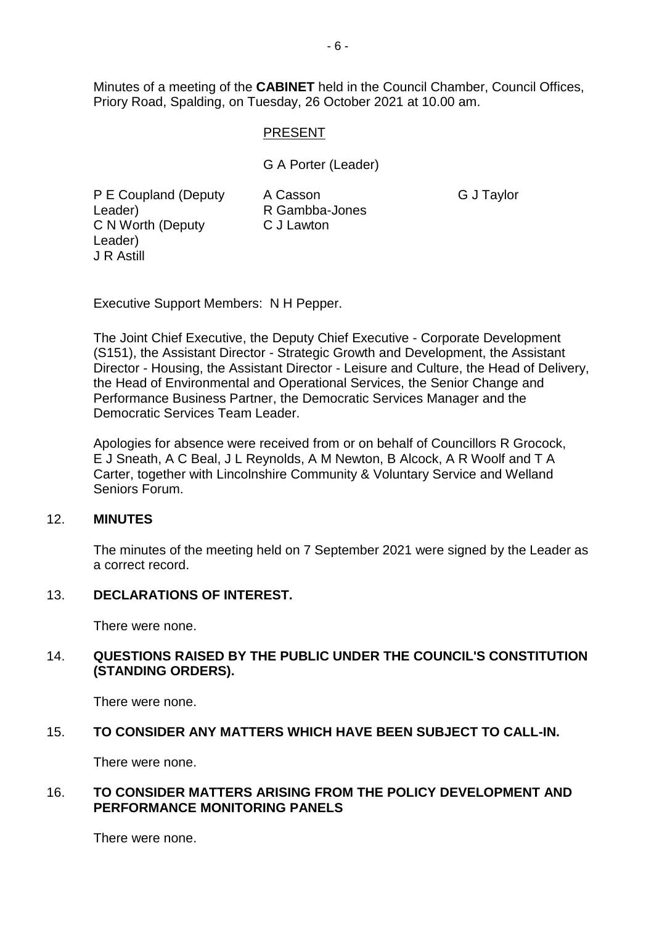Minutes of a meeting of the **CABINET** held in the Council Chamber, Council Offices, Priory Road, Spalding, on Tuesday, 26 October 2021 at 10.00 am.

### PRESENT

G A Porter (Leader)

P E Coupland (Deputy Leader) C N Worth (Deputy C J Lawton Leader) J R Astill

A Casson R Gambba-Jones G J Taylor

Executive Support Members: N H Pepper.

The Joint Chief Executive, the Deputy Chief Executive - Corporate Development (S151), the Assistant Director - Strategic Growth and Development, the Assistant Director - Housing, the Assistant Director - Leisure and Culture, the Head of Delivery, the Head of Environmental and Operational Services, the Senior Change and Performance Business Partner, the Democratic Services Manager and the Democratic Services Team Leader.

Apologies for absence were received from or on behalf of Councillors R Grocock, E J Sneath, A C Beal, J L Reynolds, A M Newton, B Alcock, A R Woolf and T A Carter, together with Lincolnshire Community & Voluntary Service and Welland Seniors Forum.

#### 12. **MINUTES**

The minutes of the meeting held on 7 September 2021 were signed by the Leader as a correct record.

## 13. **DECLARATIONS OF INTEREST.**

There were none.

### 14. **QUESTIONS RAISED BY THE PUBLIC UNDER THE COUNCIL'S CONSTITUTION (STANDING ORDERS).**

There were none.

#### 15. **TO CONSIDER ANY MATTERS WHICH HAVE BEEN SUBJECT TO CALL-IN.**

There were none.

#### 16. **TO CONSIDER MATTERS ARISING FROM THE POLICY DEVELOPMENT AND PERFORMANCE MONITORING PANELS**

There were none.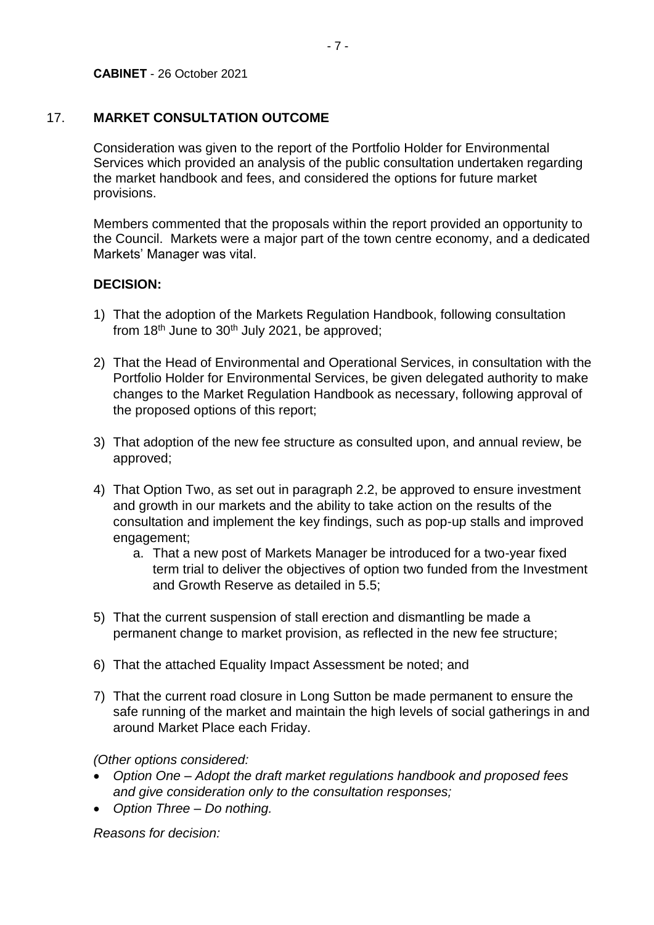## 17. **MARKET CONSULTATION OUTCOME**

Consideration was given to the report of the Portfolio Holder for Environmental Services which provided an analysis of the public consultation undertaken regarding the market handbook and fees, and considered the options for future market provisions.

Members commented that the proposals within the report provided an opportunity to the Council. Markets were a major part of the town centre economy, and a dedicated Markets' Manager was vital.

## **DECISION:**

- 1) That the adoption of the Markets Regulation Handbook, following consultation from  $18<sup>th</sup>$  June to  $30<sup>th</sup>$  July 2021, be approved;
- 2) That the Head of Environmental and Operational Services, in consultation with the Portfolio Holder for Environmental Services, be given delegated authority to make changes to the Market Regulation Handbook as necessary, following approval of the proposed options of this report;
- 3) That adoption of the new fee structure as consulted upon, and annual review, be approved;
- 4) That Option Two, as set out in paragraph 2.2, be approved to ensure investment and growth in our markets and the ability to take action on the results of the consultation and implement the key findings, such as pop-up stalls and improved engagement;
	- a. That a new post of Markets Manager be introduced for a two-year fixed term trial to deliver the objectives of option two funded from the Investment and Growth Reserve as detailed in 5.5;
- 5) That the current suspension of stall erection and dismantling be made a permanent change to market provision, as reflected in the new fee structure;
- 6) That the attached Equality Impact Assessment be noted; and
- 7) That the current road closure in Long Sutton be made permanent to ensure the safe running of the market and maintain the high levels of social gatherings in and around Market Place each Friday.

*(Other options considered:*

- *Option One – Adopt the draft market regulations handbook and proposed fees and give consideration only to the consultation responses;*
- *Option Three – Do nothing.*

*Reasons for decision:*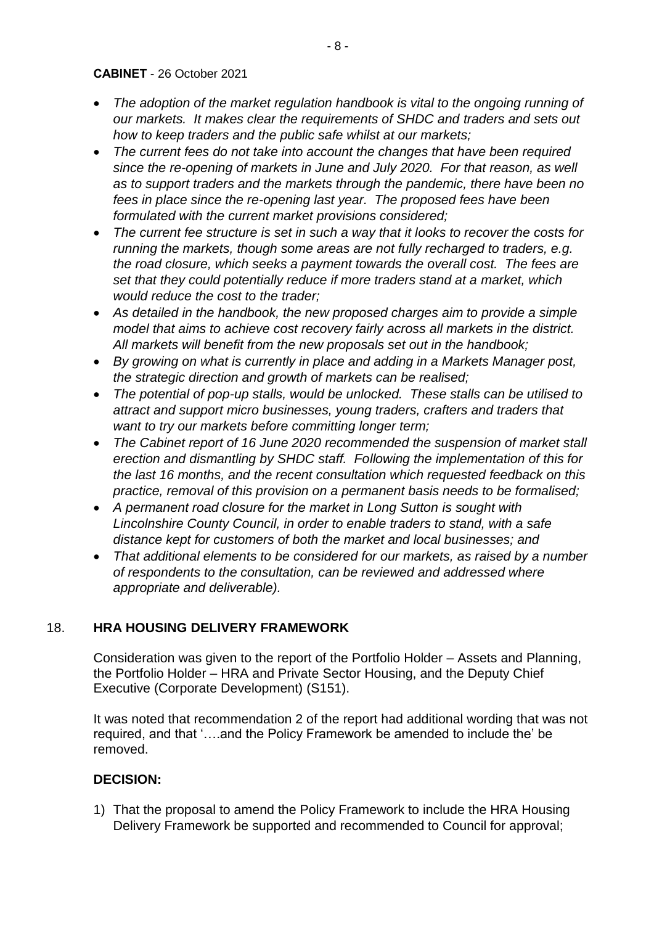#### **CABINET** - 26 October 2021

- The adoption of the market regulation handbook is vital to the ongoing running of *our markets. It makes clear the requirements of SHDC and traders and sets out how to keep traders and the public safe whilst at our markets;*
- *The current fees do not take into account the changes that have been required since the re-opening of markets in June and July 2020. For that reason, as well as to support traders and the markets through the pandemic, there have been no fees in place since the re-opening last year. The proposed fees have been formulated with the current market provisions considered;*
- *The current fee structure is set in such a way that it looks to recover the costs for running the markets, though some areas are not fully recharged to traders, e.g. the road closure, which seeks a payment towards the overall cost. The fees are set that they could potentially reduce if more traders stand at a market, which would reduce the cost to the trader;*
- As detailed in the handbook, the new proposed charges aim to provide a simple *model that aims to achieve cost recovery fairly across all markets in the district. All markets will benefit from the new proposals set out in the handbook;*
- *By growing on what is currently in place and adding in a Markets Manager post, the strategic direction and growth of markets can be realised;*
- *The potential of pop-up stalls, would be unlocked. These stalls can be utilised to attract and support micro businesses, young traders, crafters and traders that want to try our markets before committing longer term;*
- *The Cabinet report of 16 June 2020 recommended the suspension of market stall erection and dismantling by SHDC staff. Following the implementation of this for the last 16 months, and the recent consultation which requested feedback on this practice, removal of this provision on a permanent basis needs to be formalised;*
- *A permanent road closure for the market in Long Sutton is sought with Lincolnshire County Council, in order to enable traders to stand, with a safe distance kept for customers of both the market and local businesses; and*
- *That additional elements to be considered for our markets, as raised by a number of respondents to the consultation, can be reviewed and addressed where appropriate and deliverable).*

### 18. **HRA HOUSING DELIVERY FRAMEWORK**

Consideration was given to the report of the Portfolio Holder – Assets and Planning, the Portfolio Holder – HRA and Private Sector Housing, and the Deputy Chief Executive (Corporate Development) (S151).

It was noted that recommendation 2 of the report had additional wording that was not required, and that '….and the Policy Framework be amended to include the' be removed.

### **DECISION:**

1) That the proposal to amend the Policy Framework to include the HRA Housing Delivery Framework be supported and recommended to Council for approval;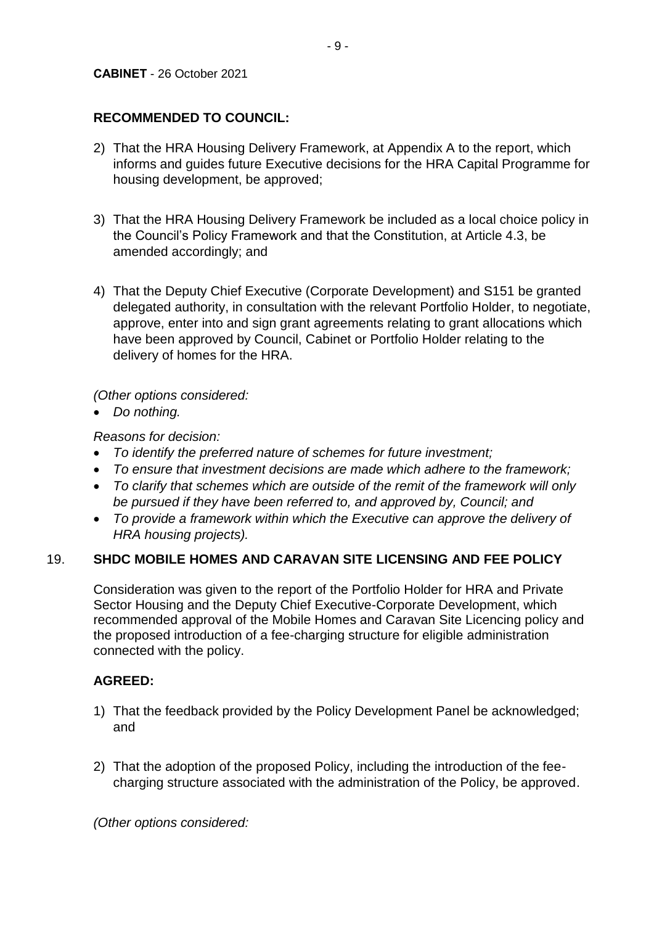# **RECOMMENDED TO COUNCIL:**

- 2) That the HRA Housing Delivery Framework, at Appendix A to the report, which informs and guides future Executive decisions for the HRA Capital Programme for housing development, be approved;
- 3) That the HRA Housing Delivery Framework be included as a local choice policy in the Council's Policy Framework and that the Constitution, at Article 4.3, be amended accordingly; and
- 4) That the Deputy Chief Executive (Corporate Development) and S151 be granted delegated authority, in consultation with the relevant Portfolio Holder, to negotiate, approve, enter into and sign grant agreements relating to grant allocations which have been approved by Council, Cabinet or Portfolio Holder relating to the delivery of homes for the HRA.

*(Other options considered:*

• *Do nothing.*

*Reasons for decision:*

- *To identify the preferred nature of schemes for future investment;*
- *To ensure that investment decisions are made which adhere to the framework;*
- *To clarify that schemes which are outside of the remit of the framework will only be pursued if they have been referred to, and approved by, Council; and*
- *To provide a framework within which the Executive can approve the delivery of HRA housing projects).*

# 19. **SHDC MOBILE HOMES AND CARAVAN SITE LICENSING AND FEE POLICY**

Consideration was given to the report of the Portfolio Holder for HRA and Private Sector Housing and the Deputy Chief Executive-Corporate Development, which recommended approval of the Mobile Homes and Caravan Site Licencing policy and the proposed introduction of a fee-charging structure for eligible administration connected with the policy.

# **AGREED:**

- 1) That the feedback provided by the Policy Development Panel be acknowledged; and
- 2) That the adoption of the proposed Policy, including the introduction of the feecharging structure associated with the administration of the Policy, be approved.

*(Other options considered:*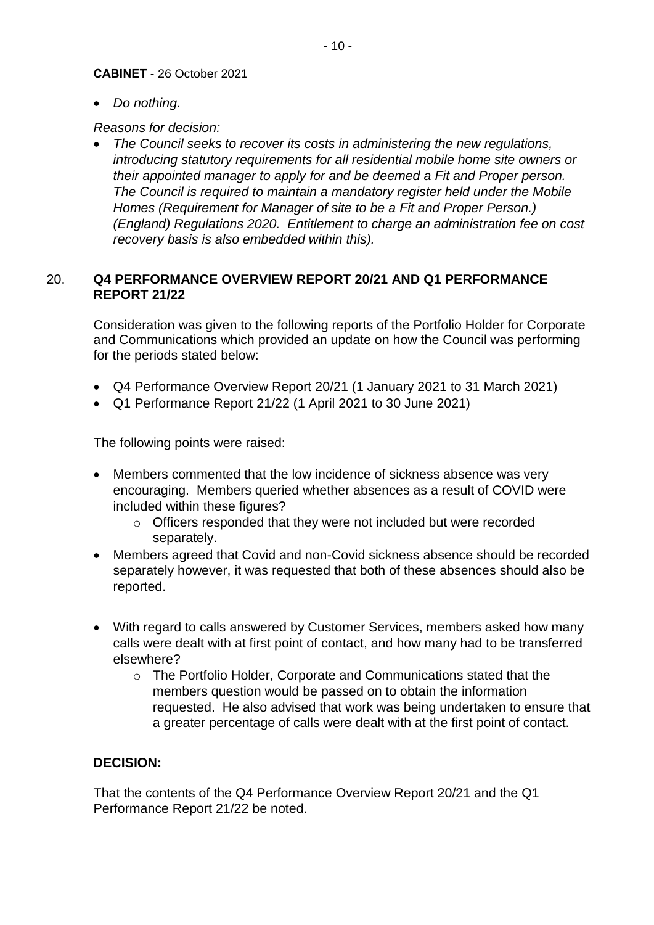#### **CABINET** - 26 October 2021

• *Do nothing.*

*Reasons for decision:*

• *The Council seeks to recover its costs in administering the new regulations, introducing statutory requirements for all residential mobile home site owners or their appointed manager to apply for and be deemed a Fit and Proper person. The Council is required to maintain a mandatory register held under the Mobile Homes (Requirement for Manager of site to be a Fit and Proper Person.) (England) Regulations 2020. Entitlement to charge an administration fee on cost recovery basis is also embedded within this).*

## 20. **Q4 PERFORMANCE OVERVIEW REPORT 20/21 AND Q1 PERFORMANCE REPORT 21/22**

Consideration was given to the following reports of the Portfolio Holder for Corporate and Communications which provided an update on how the Council was performing for the periods stated below:

- Q4 Performance Overview Report 20/21 (1 January 2021 to 31 March 2021)
- Q1 Performance Report 21/22 (1 April 2021 to 30 June 2021)

The following points were raised:

- Members commented that the low incidence of sickness absence was very encouraging. Members queried whether absences as a result of COVID were included within these figures?
	- o Officers responded that they were not included but were recorded separately.
- Members agreed that Covid and non-Covid sickness absence should be recorded separately however, it was requested that both of these absences should also be reported.
- With regard to calls answered by Customer Services, members asked how many calls were dealt with at first point of contact, and how many had to be transferred elsewhere?
	- o The Portfolio Holder, Corporate and Communications stated that the members question would be passed on to obtain the information requested. He also advised that work was being undertaken to ensure that a greater percentage of calls were dealt with at the first point of contact.

# **DECISION:**

That the contents of the Q4 Performance Overview Report 20/21 and the Q1 Performance Report 21/22 be noted.